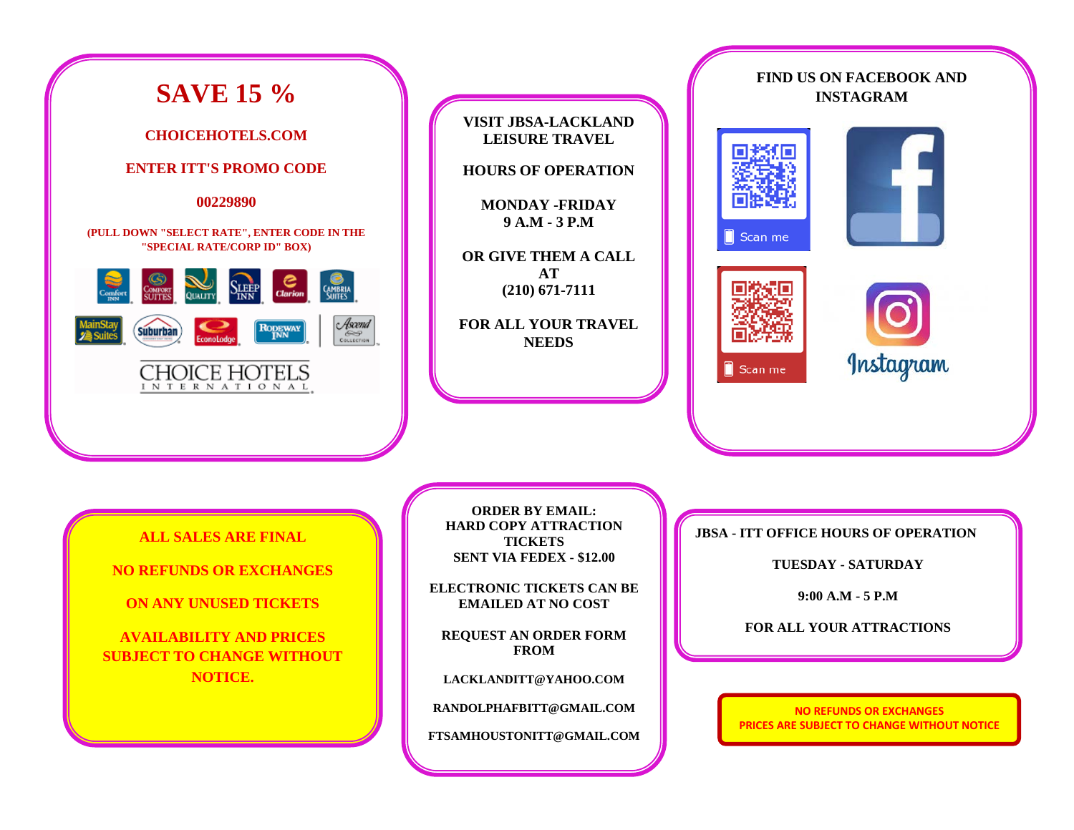